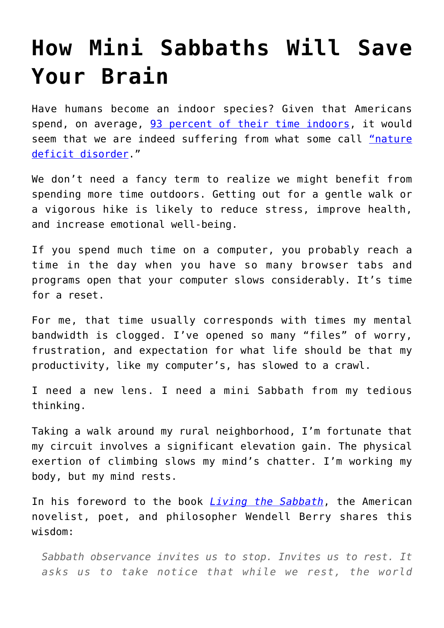## **[How Mini Sabbaths Will Save](https://intellectualtakeout.org/2020/01/how-mini-sabbaths-will-save-your-brain/) [Your Brain](https://intellectualtakeout.org/2020/01/how-mini-sabbaths-will-save-your-brain/)**

Have humans become an indoor species? Given that Americans spend, on average, [93 percent of their time indoors](https://www.buildinggreen.com/blog/we-spend-90-our-time-indoors-says-who), it would seem that we are indeed suffering from what some call ["nature](https://www.bbc.com/news/science-environment-38094186) [deficit disorder.](https://www.bbc.com/news/science-environment-38094186)"

We don't need a fancy term to realize we might benefit from spending more time outdoors. Getting out for a gentle walk or a vigorous hike is likely to reduce stress, improve health, and increase emotional well-being.

If you spend much time on a computer, you probably reach a time in the day when you have so many browser tabs and programs open that your computer slows considerably. It's time for a reset.

For me, that time usually corresponds with times my mental bandwidth is clogged. I've opened so many "files" of worry, frustration, and expectation for what life should be that my productivity, like my computer's, has slowed to a crawl.

I need a new lens. I need a mini Sabbath from my tedious thinking.

Taking a walk around my rural neighborhood, I'm fortunate that my circuit involves a significant elevation gain. The physical exertion of climbing slows my mind's chatter. I'm working my body, but my mind rests.

In his foreword to the book *[Living the Sabbath](https://www.amazon.com/gp/product/1587431653/ref=as_li_qf_asin_il_tl?ie=UTF8&tag=intelltakeo0d-20&creative=9325&linkCode=as2&creativeASIN=1587431653&linkId=ae037efaaf8b1204e2bb595e0ddcdf0d)*, the American novelist, poet, and philosopher Wendell Berry shares this wisdom:

*Sabbath observance invites us to stop. Invites us to rest. It asks us to take notice that while we rest, the world*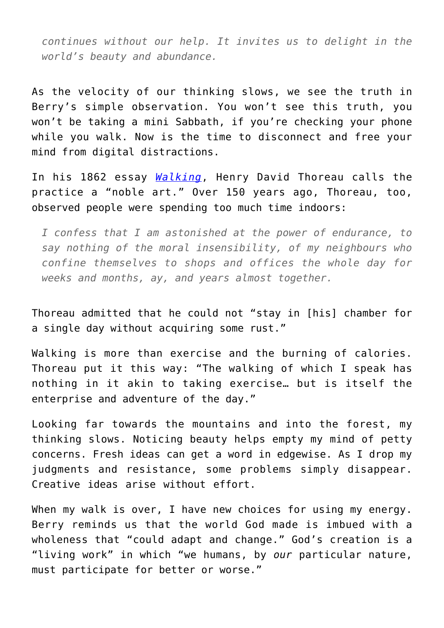*continues without our help. It invites us to delight in the world's beauty and abundance.*

As the velocity of our thinking slows, we see the truth in Berry's simple observation. You won't see this truth, you won't be taking a mini Sabbath, if you're checking your phone while you walk. Now is the time to disconnect and free your mind from digital distractions.

In his 1862 essay *[Walking](https://www.bartleby.com/28/15.html)*, Henry David Thoreau calls the practice a "noble art." Over 150 years ago, Thoreau, too, observed people were spending too much time indoors:

*I confess that I am astonished at the power of endurance, to say nothing of the moral insensibility, of my neighbours who confine themselves to shops and offices the whole day for weeks and months, ay, and years almost together.*

Thoreau admitted that he could not "stay in [his] chamber for a single day without acquiring some rust."

Walking is more than exercise and the burning of calories. Thoreau put it this way: "The walking of which I speak has nothing in it akin to taking exercise… but is itself the enterprise and adventure of the day."

Looking far towards the mountains and into the forest, my thinking slows. Noticing beauty helps empty my mind of petty concerns. Fresh ideas can get a word in edgewise. As I drop my judgments and resistance, some problems simply disappear. Creative ideas arise without effort.

When my walk is over, I have new choices for using my energy. Berry reminds us that the world God made is imbued with a wholeness that "could adapt and change." God's creation is a "living work" in which "we humans, by *our* particular nature, must participate for better or worse."